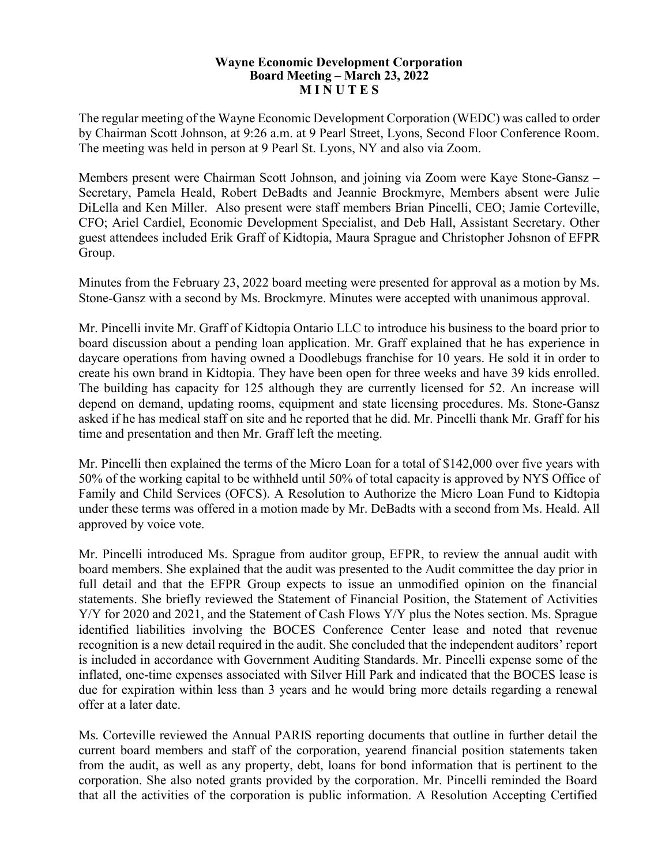## **Wayne Economic Development Corporation Board Meeting – March 23, 2022 M I N U T E S**

The regular meeting of the Wayne Economic Development Corporation (WEDC) was called to order by Chairman Scott Johnson, at 9:26 a.m. at 9 Pearl Street, Lyons, Second Floor Conference Room. The meeting was held in person at 9 Pearl St. Lyons, NY and also via Zoom.

Members present were Chairman Scott Johnson, and joining via Zoom were Kaye Stone-Gansz – Secretary, Pamela Heald, Robert DeBadts and Jeannie Brockmyre, Members absent were Julie DiLella and Ken Miller. Also present were staff members Brian Pincelli, CEO; Jamie Corteville, CFO; Ariel Cardiel, Economic Development Specialist, and Deb Hall, Assistant Secretary. Other guest attendees included Erik Graff of Kidtopia, Maura Sprague and Christopher Johsnon of EFPR Group.

Minutes from the February 23, 2022 board meeting were presented for approval as a motion by Ms. Stone-Gansz with a second by Ms. Brockmyre. Minutes were accepted with unanimous approval.

Mr. Pincelli invite Mr. Graff of Kidtopia Ontario LLC to introduce his business to the board prior to board discussion about a pending loan application. Mr. Graff explained that he has experience in daycare operations from having owned a Doodlebugs franchise for 10 years. He sold it in order to create his own brand in Kidtopia. They have been open for three weeks and have 39 kids enrolled. The building has capacity for 125 although they are currently licensed for 52. An increase will depend on demand, updating rooms, equipment and state licensing procedures. Ms. Stone-Gansz asked if he has medical staff on site and he reported that he did. Mr. Pincelli thank Mr. Graff for his time and presentation and then Mr. Graff left the meeting.

Mr. Pincelli then explained the terms of the Micro Loan for a total of \$142,000 over five years with 50% of the working capital to be withheld until 50% of total capacity is approved by NYS Office of Family and Child Services (OFCS). A Resolution to Authorize the Micro Loan Fund to Kidtopia under these terms was offered in a motion made by Mr. DeBadts with a second from Ms. Heald. All approved by voice vote.

Mr. Pincelli introduced Ms. Sprague from auditor group, EFPR, to review the annual audit with board members. She explained that the audit was presented to the Audit committee the day prior in full detail and that the EFPR Group expects to issue an unmodified opinion on the financial statements. She briefly reviewed the Statement of Financial Position, the Statement of Activities Y/Y for 2020 and 2021, and the Statement of Cash Flows Y/Y plus the Notes section. Ms. Sprague identified liabilities involving the BOCES Conference Center lease and noted that revenue recognition is a new detail required in the audit. She concluded that the independent auditors' report is included in accordance with Government Auditing Standards. Mr. Pincelli expense some of the inflated, one-time expenses associated with Silver Hill Park and indicated that the BOCES lease is due for expiration within less than 3 years and he would bring more details regarding a renewal offer at a later date.

Ms. Corteville reviewed the Annual PARIS reporting documents that outline in further detail the current board members and staff of the corporation, yearend financial position statements taken from the audit, as well as any property, debt, loans for bond information that is pertinent to the corporation. She also noted grants provided by the corporation. Mr. Pincelli reminded the Board that all the activities of the corporation is public information. A Resolution Accepting Certified